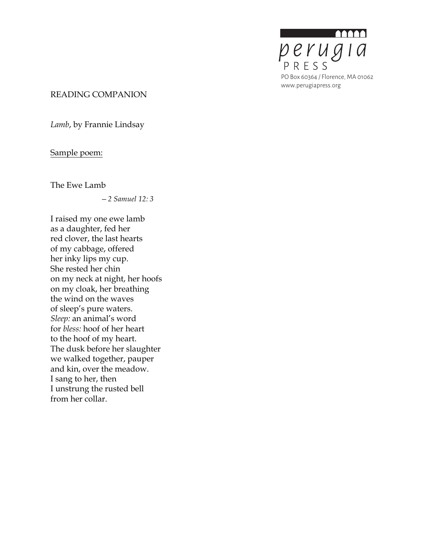

#### READING COMPANION

*Lamb*, by Frannie Lindsay

# Sample poem:

The Ewe Lamb

*—2 Samuel 12: 3*

I raised my one ewe lamb as a daughter, fed her red clover, the last hearts of my cabbage, offered her inky lips my cup. She rested her chin on my neck at night, her hoofs on my cloak, her breathing the wind on the waves of sleep's pure waters. *Sleep:* an animal's word for *bless:* hoof of her heart to the hoof of my heart. The dusk before her slaughter we walked together, pauper and kin, over the meadow. I sang to her, then I unstrung the rusted bell from her collar.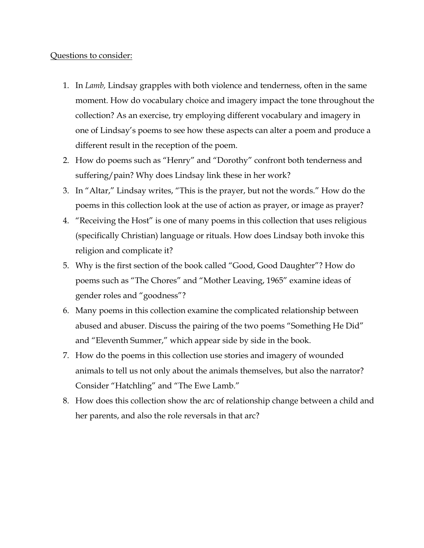### Questions to consider:

- 1. In *Lamb,* Lindsay grapples with both violence and tenderness, often in the same moment. How do vocabulary choice and imagery impact the tone throughout the collection? As an exercise, try employing different vocabulary and imagery in one of Lindsay's poems to see how these aspects can alter a poem and produce a different result in the reception of the poem.
- 2. How do poems such as "Henry" and "Dorothy" confront both tenderness and suffering/pain? Why does Lindsay link these in her work?
- 3. In "Altar," Lindsay writes, "This is the prayer, but not the words." How do the poems in this collection look at the use of action as prayer, or image as prayer?
- 4. "Receiving the Host" is one of many poems in this collection that uses religious (specifically Christian) language or rituals. How does Lindsay both invoke this religion and complicate it?
- 5. Why is the first section of the book called "Good, Good Daughter"? How do poems such as "The Chores" and "Mother Leaving, 1965" examine ideas of gender roles and "goodness"?
- 6. Many poems in this collection examine the complicated relationship between abused and abuser. Discuss the pairing of the two poems "Something He Did" and "Eleventh Summer," which appear side by side in the book.
- 7. How do the poems in this collection use stories and imagery of wounded animals to tell us not only about the animals themselves, but also the narrator? Consider "Hatchling" and "The Ewe Lamb."
- 8. How does this collection show the arc of relationship change between a child and her parents, and also the role reversals in that arc?